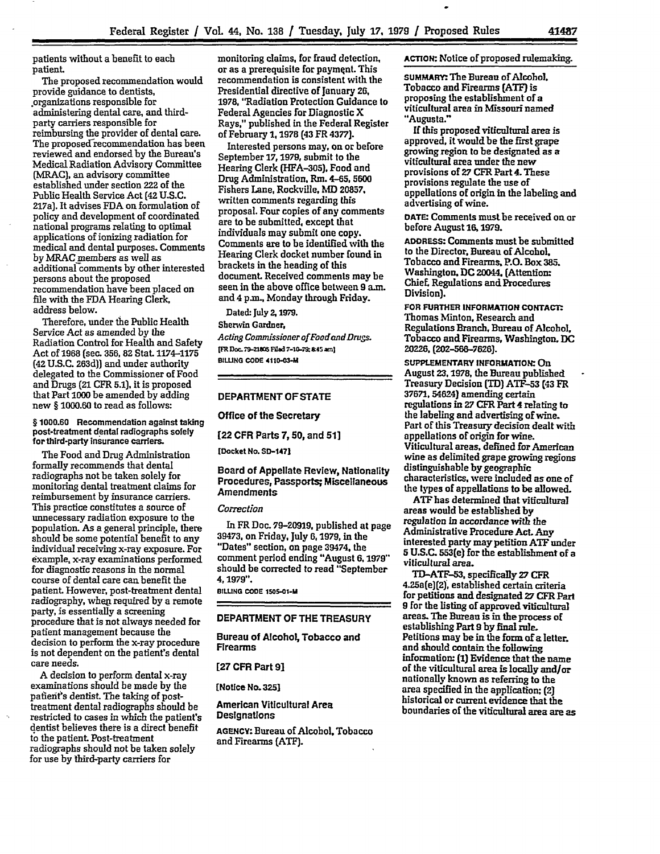patients without a benefit to each patient

The proposed recommendation would provide guidance to dentists, .organizations responsible for administering dental care, and thirdparty carriers responsible for reimbursing the provider of dental care. The proposed recommendation has been reviewed and endorsed **by** the Bureau's Medical Radiation Advisory Committee (MRAC), an advisory committee established under section **222** of the Public Health Service Act **(42** U.S.C. 217a). It advises **FDA** on formulation of policy and development of coordinated national programs relating to optimal applications of ionizing radiation for medical and dental purposes. Comments **by** MRAC members as well as additional comments **by** other interested persons about the proposed recommendation have been placed on file with the **FDA** Hearing Clerk, address below.

Therefore, under the Public Health Service Act as amended **by** the Radiation Control for Health and Safety Act **of 1968** (sec. **356, 82** Stat. **1174-1175 (42 U.S.C. 263d)]** and under authority delegated to the Commissioner of Food and Drugs **(21** CFR **5.1),** it is proposed that Part **1000 be** amended **by** adding new § **1000.60** to read as follows:

**§ 1000.60** Recommendation against taking post-treatment dental radiographs solely for third-party insurance carriers.

The Food and Drug Administration formally recommends that dental radiographs not be taken solely for monitoring dental treatment claims for reimbursement **by** insurance carriers. This practice constitutes a source of unnecessary radiation exposure to the population. As a general principle, there should be some potential benefit to any individual receiving x-ray exposure. For example, x-ray examinations performed for diagnostic reasons in the normal course of dental care can benefit the patient However, post-treatment dental radiography, when, required **by** a remote party, is essentially a screening procedure that is not always needed for patient management because the decision to perform the x-ray procedure is not dependent on the patient's dental care needs.

A decision to perform dental x-ray examinations should be made **by** the pafient's dentist. The taking of posttreatment dental radiographs should be restricted to cases in which the patient's dentist believes there is a direct benefit **to** the patient Post-treatment radiographs should not be taken solely for use **by** third-party carriers for

monitoring claims, for fraud detection, or as a prerequisite for payment. This recommendation is consistent with the Presidential directive of January 26, **1978,** "Radiation Protection Guidance to Federal Agencies for Diagnostic X Rays," published in the Federal Register of February **1, 1978** (43 FR **4377).**

Interested persons may, on or before September **17,1979,** submit to the Hearing Clerk **(HFA-305).** Food and Drug Administration, Rm. **4-65, 5600** Fishers Lane, Rockville, MD 20857. written comments regarding this proposal. Four copies of any comments are to be submitted, except that individuals may submit one copy. Comments are to be identified with the Hearing Clerk docket number found in brackets in the heading of this document. Received comments may be seen in the above office between **9** am. and 4 **p.m.,** Monday through Friday.

Dated: July **2,1979.**

Sherwin Gardner,

*Acting Commissioner of FoodandDrugs.* [FR Doc. 79-21805 Filed 7-10-79; 8:45 am] **BILLING CODE 4110-0341**

## DEPARTMENT OF **STATE**

Office of the Secretary

**[22** CFR Parts **7, 50,** and **51]**

**[Docket No. SD-1471**

Board of Appellate Review, Nationality Procedures, Passports; Miscellaneous Amendments

## *Cozrection*

In FR Doc. **79-20919,** published at page **39473,** on Friday, July **6,1979,** in the "Dates" section, on page 39474. the comment period ending "August **6,1979"** should be corrected to read "September 4,1979".

**BILNG CODE 1SOS-01-**

## DEPARTMENT OF THE TREASURY

Bureau of Alcohol, Tobacco and Firearms

**[27** CFR Part **91**

[Notice No. **3251**

American Viticultural Area **Designations** 

**AGENCY:** Bureau of Alcohol, Tobacco and Firearms **(ATF).**

ACTION: Notice of proposed rulemaking.

**SUMMARY:** The Bureau of Alcohol, Tobacco and Firearms **(ATF]** is proposing the establishment of a viticultural area in Missouri named "Augusta."

**If** this proposed viticultural area is approved. it would be the first grape growing region to be designated as a viticultural area under the new provisions of **27** CFR Part 4. These provisions regulate the use of appellations of origin in the labeling and advertising of *wine.*

**DATE:** Comments must be received on or before August **16,1979.**

**ADDRESS:** Comments must be submitted to the Director. Bureau of Alcohol. Tobacco and Firearms. **P.O.** Box **385.** Washington. **DC 20044,** (Attention: Chief Regulations and Procedures Division).

**FOR FURTHER INFORMATION CONTACT:** Thomas Minton, Research and Regulations Branch, Bureau of Alcohol, Tobacco and Firearms, Washington, **DC 20226, (202-56-7626).**

**SUPPLEMENTARY INFORMATION:** On August **23,1978,** the Bureau published Treasury Decision TID) ATF-53 **(43** FR 37671. 54624) amending certain regulations in 27 CFR Part 4 relating to the labeling and advertising of wine. Part of this Treasury decision dealt with appellations of origin for wine. Viticultural areas, defined for American wine as delimited grape growing regions distinguishable **by** geographic characteristics, were included as one of the types **of** appellations to be allowed.

**ATF** has determined that viticultural areas would be established by regulation in accordance with the Administrative Procedure Act. Any interested party may petition **ATF** under **5 U.S.C.** 553(e) for the establishment of a viticultural area.

**TD-ATF--53,** specifically **27** CFR 4.25a(e)(2), established certain criteria for petitions and designated **27** CFR Part **9** for the listing of approved viticultural areas. The Bureau is in the process **of** establishing Part **9 by** final rule. Petitions may **be** in the form **of** a letter, and should contain the following information: **(1)** Evidence that the name of the viticultural area is locally and/or nationally known as referring to the area specified in the application; (2) historical or current evidence that the boundaries of the viticultural area are as